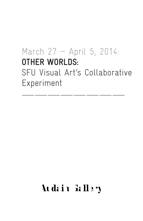# March 27 – April 5, 2014: **OTHER WORLDS:** SFU Visual Art's Collaborative Experiment

At di i 1 di llegge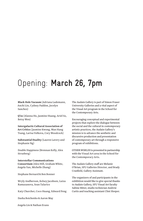## Opening: **March 26, 7pm**

**Black Hole Vacuum** (Adriana Lademann, Anchi Lin, Cydney Paddon, Jocelyn Sanchez)

**Q'os** (Alanna Ho, Jasmine Huang, Ariel So, Betsy Wen)

**Intergalactic Cultural Association of Art Critics** (Jasmine Kwong, Wan Hang Tsang, Larisa Volkova, Cory Woodcock)

**Substantial Duality** (Lauren Lavery and Stephanie Ng)

Double Happiness (Brennan Kelly, Alex Strusberg)

**Interstellar Communications Consortium** (Alex Hill, Graham White, Angela Yan, Michelle Zhang)

Stephane Bernard & Ben Bonner

Wryly Andherson, Kelsey Jacobsen, Luiza Ramazanova, Sean Talarico

Katy Churcher, Coco Huang, Edward Peng

Dasha Boichenko & Aaron May

Angela Lin & Nathan Evans

The Audain Gallery is part of Simon Fraser University Galleries and a vital aspect of the Visual Art program in the School for the Contemporary Arts.

Encouraging conceptual and experimental projects that explore the dialogue between the social and the cultural in contemporary artistic practices, the Audain Gallery's mission is to advance the aesthetic and discursive production and presentation of contemporary art through a responsive program of exhibitions.

*OTHER WORLDS* is presented in partnership with the Visual Art area in the School for the Contemporary Arts.

The Audain Gallery staff are Melanie O'Brian, SFU Galleries Director, and Brady Cranfield, Gallery Assistant.

The organizers of and participants in the exhibition would like to give special thanks to Audain Gallery, SFU Visual Art faculty Sabine Bitter, studio technician Andrew Curtis and teaching assistant Clint Sleeper.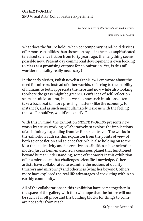#### *OTHER WORLDS:*

SFU Visual Arts' Collaborative Experiment

*We have no need of other worlds; we need mirrors.*

– Stanislaw Lem, *Solaris*

What does the future hold? When contemporary hand-held devices offer more capabilities than those portrayed in the most sophisticated televised science fiction from forty years ago, then anything seems possible now. Present day commercial development is even looking to Mars as a promising outpost for colonization. Yet, is this offworlder mentality really necessary?

In the early sixties, Polish novelist Stanislaw Lem wrote about the need for mirrors instead of other worlds, referring to the inability of humans to both appreciate the here and now while also looking to where the grass might be greener. Lem's idea of self-reflection seems intuitive at first, but as we all know such intuitions often take a back seat to more pressing matters (like the economy, for instance), and as such might ultimately leave us with the feeling that we "should've, would've, could've".

With this in mind, the exhibition *OTHER WORLDS* presents new works by artists working collaboratively to explore the implications of an infinitely expanding frontier for space-travel. The works in the exhibition address this expansion from the points of view of both science fiction and science fact, while also holding on to the idea that collectivity and its creative possibilities echo a scientific model. Just as Lem envisioned a conscious planet that functioned beyond human understanding, some of the works in this exhibition offer a microcosm that challenges scientific knowledge. Other artists have collaborated to examine the notions of duality (mirrors and mirroring) and otherness (what lies beyond); others more have explored the real life advantages of coexisting within an earthly community.

All of the collaborations in this exhibition have come together in the space of the gallery with the twin hope that the future will not be such a far off place and the building blocks for things to come are not so far from reach.

– Stéphane Bernard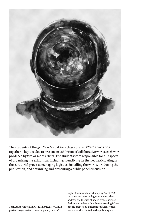

The students of the 3rd Year Visual Arts class curated *OTHER WORLDS* together. They decided to present an exhibition of collaborative works, each work produced by two or more artists. The students were responsible for all aspects of organizing the exhibition, including: identifying its theme, participating in the curatorial process, managing logistics, installing the works, producing the publication, and organizing and presenting a public panel discussion.

Top: Larisa Volkova, *xxx*, , 2014, *OTHER WORLDS*  poster image, water colour on paper, 12 x 14".

Right: Community workshop by *Black Hole Vacuum* to create collages as posters that address the themes of space-travel, science fiction, and science fact. In one evening fifteen people created 38 different collages, which were later distributed in the public space.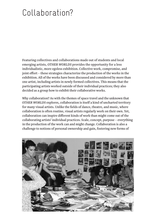# Collaboration?

Featuring collectives and collaborations made out of students and local emerging artists, *OTHER WORLDS* provides the opportunity for a less individualistic, more egoless exhibition. Collective work, compromise, and joint effort – these strategies characterize the production of the works in the exhibition. All of the works have been discussed and considered by more than one artist, including artists in newly formed collectives. This means that the participating artists worked outside of their individual practices; they also decided as a group how to exhibit their collaborative works.

Why collaboration? As with the themes of space travel and the unknown that *OTHER WORLDS* explores, collaboration is itself a kind of uncharted territory for many visual artists. Unlike the fields of dance, theatre, and music, where collaboration is often routine, visual artists regularly work on their own. Yet, collaboration can inspire different kinds of work than might come out of the collaborating artists' individual practices. Scale, concept, purpose – everything in the production of the work can and might change. Collaboration is also a challenge to notions of personal ownership and gain, fostering new forms of

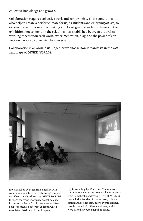collective knowledge and growth.

Collaboration requires collective work and compromise. These conditions also help to create a perfect climate for us, as students and emerging artists, to experience another world of making art. As we grapple with the themes of the exhibition, not to mention the relationships established between the artists working together on each work, experimentation, play, and the power of connection have also come into the conversation.

Collaboration is all around us. Together we choose how it manifests in the vast landscape of *OTHER WORLDS*.



top: workshop by *Black Hole Vacuum* with community members to create collages as posters. Thematically addressing OTHER WORLDS through the frontier of space-travel, science fiction and science fact, in one evening fifteen people created 38 different collages, which were later distributed in public space.

right: workshop by *Black Hole Vacuum* with community members to create collages as posters. Thematically addressing OTHER WORLDS through the frontier of space-travel, science fiction and science fact, in one evening fifteen people created 38 different collages, which were later distributed in public space.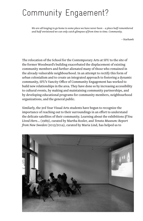# Community Engaement?

*We are all longing to go home to some place we have never been – a place half-remembered and half-envisioned we can only catch glimpses of from time to time. Community.*

 *–* Starhawk

The relocation of the School for the Contemporary Arts at SFU to the site of the former Woodward's building exacerbated the displacement of existing community members and further alienated many of those who remained in the already vulnerable neighbourhood. In an attempt to rectify this form of urban colonialism and to create an integrated approach to fostering a dynamic community, SFU's Vancity Office of Community Engagement has worked to build new relationships in the area. They have done so by increasing accessibility to cultural events, by making and maintaining community partnerships, and by developing educational programs for community members, neighbourhood organizations, and the general public.

Similarly, the 3rd Year Visual Arts students have begun to recognize the importance of reaching out to their surroundings in an effort to understand the delicate satellites of their community. Learning about the exhibitions *If You Lived Here…* (1989), curated by Martha Rosler, and *Tensta Museum: Report from New Sweden* (2013/2014), curated by Maria Lind, has helped us to

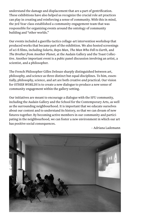understand the damage and displacement that are a part of gentrification. These exhibitions have also helped us recognize the crucial role art practices can play in creating and reinforcing a sense of community. With this in mind, the 3rd Year class established a community engagement team that was responsible for organizing events around the ontology of community building and "other worlds."

Our events included a guerilla-tactics collage-art intervention workshop that produced works that became part of the exhibition. We also hosted screenings of sci-fi films, including *Solaris*, *Repo Man*, *The Man Who Fell to Earth,* and *The Brother from Another Planet*, at the Audain Gallery and the Toast Collective. Another important event is a pubic panel discussion involving an artist, a scientist, and a philosopher.

The French Philosopher Gilles Deleuze sharply distinguished between art, philosophy, and science as three distinct but equal disciplines. To him, essentially, philosophy, science, and art are both creative *and* practical. Our vision for *OTHER WORLDS* is to create a new dialogue to produce a new sense of community engagement within the gallery setting.

Our initiatives are meant to encourage a dialogue with the SFU community, including the Audain Gallery and the School for the Contemporary Arts, as well as the surrounding neighbourhood. It is important that we educate ourselves about our context and to understand its history, so that we can dream of new futures together. By becoming active members in our community and participating in the neighbourhood, we can foster a new environment in which our art has positive social consequences.



– Adriana Lademann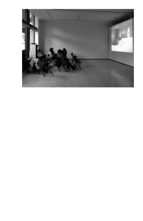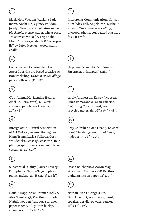### 1

Black Hole Vacuum (Adriana Lademann, Anchi Lin, Cydney Paddon, Jocelyn Sanchez), *No pipeline in our black hole, please,* paper, wheat paste, TV, sourced video ("A Trip to the Moon" by George Méliès & "Petropolis" by Peter Mettler), wood, paint, chalk.

### $\overline{2}$

Collective works from Planet of the Apes: Guerrilla art-based creative action workshop, *Other Worlds Collage*, paper collage, 8.5" x 11".

### 3

Q'os (Alanna Ho, Jasmine Huang, Ariel So, Betsy Wen), *E'u Nteh,* six wood panels, ink transfer, 32" x 48".

#### ( 4

Intergalactic Cultural Association of Art Critics ( Jasmine Kwong, Wan Hang Tsang, Larisa Volkova, Cory Woodcock), *Sense of Sensation,* four photographic prints, sandwich board, costumes, 11" x 17".

#### (5

Substantial Duality (Lauren Lavery & Stephanie Ng), *Pathogen,* plaster, p;aint, mylar, ~2.5 ft x 2.5 ft x 4 ft".

### 6

Double Happiness (Brennan Kelly & Alex Strusberg), *The Mountain (At Night),* wooden fruit box, styrene, paper mache, oil, glitter, burlap, string, wax, 14" x 18" x 6".

Interstellar Communications Consortium (Alex Hill, Angela Yan, Michelle Zhang), *The Universe is Calling,* plywood, phone, corrugated plastic, 2  $ftx 2 ftx 7 ft.$ 

#### 8

Stéphane Bernard & Ben Bonner, *Facetasm,* print, 20.5" x 28.5".

#### 9

Wryly Andherson, Kelsey Jacobsen, Luiza Ramazanova, Sean Talarico, *Beginning II*, cardboard, wood, recycled materials, 76" x 64" x 48".



Katy Churcher, Coco Huang, Edward Peng, *The Beings are Out of Place*, inkjet print, 16" x 20".

#### (11

Dasha Boichenko & Aaron May, *When Your Particles Tell Me More*, digital prints on paper,  $11"$  x  $15"$ .



Nathan Evans & Angela Lin, *O c u l a u r a l*, wood, wire, paint, speaker, acrylic, powder, sensor,  $11"$  x  $11"$  x  $12"$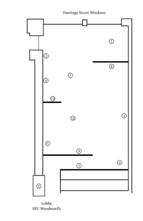

Lobby SFU Woodward's